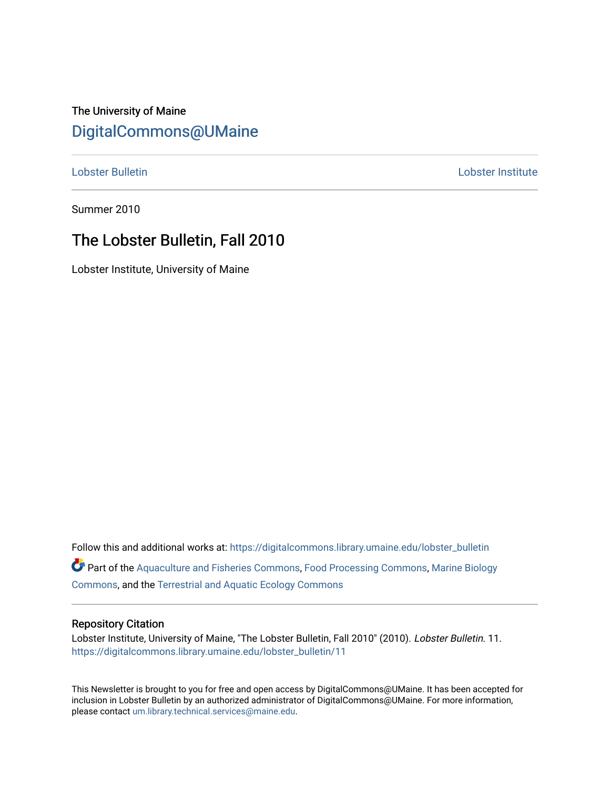## The University of Maine [DigitalCommons@UMaine](https://digitalcommons.library.umaine.edu/)

[Lobster Bulletin](https://digitalcommons.library.umaine.edu/lobster_bulletin) [Lobster Institute](https://digitalcommons.library.umaine.edu/lobster) 

Summer 2010

## The Lobster Bulletin, Fall 2010

Lobster Institute, University of Maine

Follow this and additional works at: [https://digitalcommons.library.umaine.edu/lobster\\_bulletin](https://digitalcommons.library.umaine.edu/lobster_bulletin?utm_source=digitalcommons.library.umaine.edu%2Flobster_bulletin%2F11&utm_medium=PDF&utm_campaign=PDFCoverPages) Part of the [Aquaculture and Fisheries Commons](http://network.bepress.com/hgg/discipline/78?utm_source=digitalcommons.library.umaine.edu%2Flobster_bulletin%2F11&utm_medium=PDF&utm_campaign=PDFCoverPages), [Food Processing Commons,](http://network.bepress.com/hgg/discipline/85?utm_source=digitalcommons.library.umaine.edu%2Flobster_bulletin%2F11&utm_medium=PDF&utm_campaign=PDFCoverPages) [Marine Biology](http://network.bepress.com/hgg/discipline/1126?utm_source=digitalcommons.library.umaine.edu%2Flobster_bulletin%2F11&utm_medium=PDF&utm_campaign=PDFCoverPages) [Commons](http://network.bepress.com/hgg/discipline/1126?utm_source=digitalcommons.library.umaine.edu%2Flobster_bulletin%2F11&utm_medium=PDF&utm_campaign=PDFCoverPages), and the [Terrestrial and Aquatic Ecology Commons](http://network.bepress.com/hgg/discipline/20?utm_source=digitalcommons.library.umaine.edu%2Flobster_bulletin%2F11&utm_medium=PDF&utm_campaign=PDFCoverPages) 

#### Repository Citation

Lobster Institute, University of Maine, "The Lobster Bulletin, Fall 2010" (2010). Lobster Bulletin. 11. [https://digitalcommons.library.umaine.edu/lobster\\_bulletin/11](https://digitalcommons.library.umaine.edu/lobster_bulletin/11?utm_source=digitalcommons.library.umaine.edu%2Flobster_bulletin%2F11&utm_medium=PDF&utm_campaign=PDFCoverPages) 

This Newsletter is brought to you for free and open access by DigitalCommons@UMaine. It has been accepted for inclusion in Lobster Bulletin by an authorized administrator of DigitalCommons@UMaine. For more information, please contact [um.library.technical.services@maine.edu.](mailto:um.library.technical.services@maine.edu)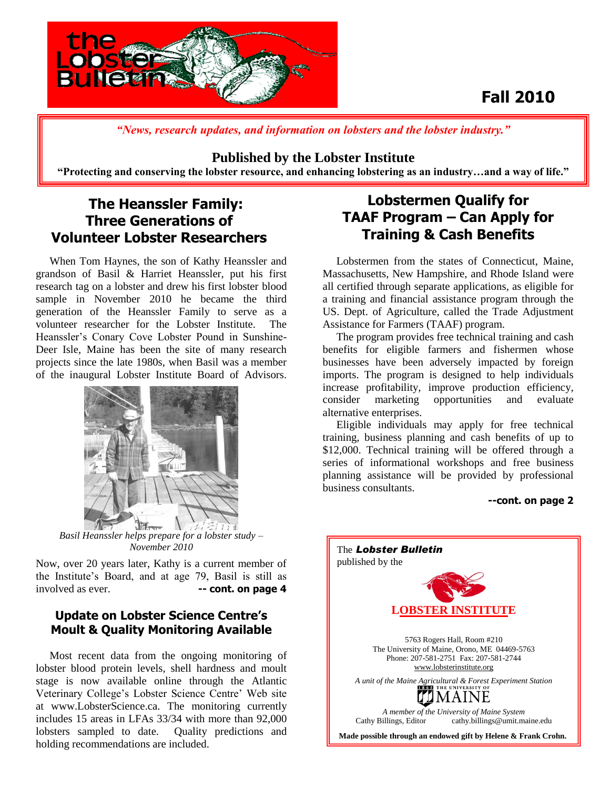

## **Fall 2010**

*"News, research updates, and information on lobsters and the lobster industry."*

#### **Published by the Lobster Institute**

**"Protecting and conserving the lobster resource, and enhancing lobstering as an industry…and a way of life."**

### **The Heanssler Family: Three Generations of Volunteer Lobster Researchers**

 When Tom Haynes, the son of Kathy Heanssler and grandson of Basil & Harriet Heanssler, put his first research tag on a lobster and drew his first lobster blood sample in November 2010 he became the third generation of the Heanssler Family to serve as a volunteer researcher for the Lobster Institute. The Heanssler's Conary Cove Lobster Pound in Sunshine-Deer Isle, Maine has been the site of many research projects since the late 1980s, when Basil was a member of the inaugural Lobster Institute Board of Advisors.



*Basil Heanssler helps prepare for a lobster study – November 2010*

Now, over 20 years later, Kathy is a current member of the Institute's Board, and at age 79, Basil is still as involved as ever. **-- cont. on page 4** 

#### **Update on Lobster Science Centre's Moult & Quality Monitoring Available**

 Most recent data from the ongoing monitoring of lobster blood protein levels, shell hardness and moult stage is now available online through the Atlantic Veterinary College's Lobster Science Centre' Web site at www.LobsterScience.ca. The monitoring currently includes 15 areas in LFAs 33/34 with more than 92,000 lobsters sampled to date. Quality predictions and holding recommendations are included.

### **Lobstermen Qualify for TAAF Program – Can Apply for Training & Cash Benefits**

 Lobstermen from the states of Connecticut, Maine, Massachusetts, New Hampshire, and Rhode Island were all certified through separate applications, as eligible for a training and financial assistance program through the US. Dept. of Agriculture, called the Trade Adjustment Assistance for Farmers (TAAF) program.

 The program provides free technical training and cash benefits for eligible farmers and fishermen whose businesses have been adversely impacted by foreign imports. The program is designed to help individuals increase profitability, improve production efficiency, consider marketing opportunities and evaluate alternative enterprises.

 Eligible individuals may apply for free technical training, business planning and cash benefits of up to \$12,000. Technical training will be offered through a series of informational workshops and free business planning assistance will be provided by professional business consultants.

#### **--cont. on page 2**

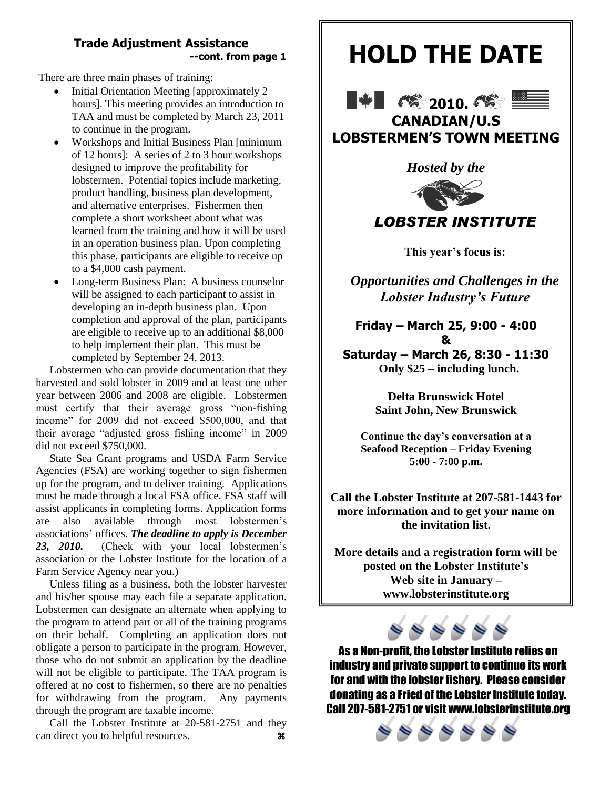#### **Trade Adjustment Assistance --cont. from page 1**

There are three main phases of training:

- Initial Orientation Meeting [approximately 2 hours]. This meeting provides an introduction to TAA and must be completed by March 23, 2011 to continue in the program.
- Workshops and Initial Business Plan [minimum of 12 hours]: A series of 2 to 3 hour workshops designed to improve the profitability for lobstermen. Potential topics include marketing, product handling, business plan development, and alternative enterprises. Fishermen then complete a short worksheet about what was learned from the training and how it will be used in an operation business plan. Upon completing this phase, participants are eligible to receive up to a \$4,000 cash payment.
- Long-term Business Plan: A business counselor will be assigned to each participant to assist in developing an in-depth business plan. Upon completion and approval of the plan, participants are eligible to receive up to an additional \$8,000 to help implement their plan. This must be completed by September 24, 2013.

Lobstermen who can provide documentation that they harvested and sold lobster in 2009 and at least one other year between 2006 and 2008 are eligible. Lobstermen must certify that their average gross "non-fishing income" for 2009 did not exceed \$500,000, and that their average "adjusted gross fishing income" in 2009 did not exceed \$750,000.

State Sea Grant programs and USDA Farm Service Agencies (FSA) are working together to sign fishermen up for the program, and to deliver training. Applications must be made through a local FSA office. FSA staff will assist applicants in completing forms. Application forms are also available through most lobstermen's associations' offices. *The deadline to apply is December 23, 2010.* (Check with your local lobstermen's association or the Lobster Institute for the location of a Farm Service Agency near you.)

 Unless filing as a business, both the lobster harvester and his/her spouse may each file a separate application. Lobstermen can designate an alternate when applying to the program to attend part or all of the training programs on their behalf. Completing an application does not obligate a person to participate in the program. However, those who do not submit an application by the deadline will not be eligible to participate. The TAA program is offered at no cost to fishermen, so there are no penalties for withdrawing from the program. Any payments through the program are taxable income.

 Call the Lobster Institute at 20-581-2751 and they can direct you to helpful resources.  $\mathcal{R}$ 

# **HOLD THE DATE**





**LOBSTERMEN'S TOWN MEETING**





**This year's focus is:** 

*Opportunities and Challenges in the Lobster Industry's Future*

**Friday – March 25, 9:00 - 4:00 & Saturday – March 26, 8:30 - 11:30 Only \$25 – including lunch.**

> **Delta Brunswick Hotel Saint John, New Brunswick**

**Continue the day's conversation at a Seafood Reception – Friday Evening 5:00 - 7:00 p.m.**

**Call the Lobster Institute at 207-581-1443 for more information and to get your name on the invitation list.**

**More details and a registration form will be posted on the Lobster Institute's Web site in January – www.lobsterinstitute.org**



As a Non-profit, the Lobster Institute relies on industry and private support to continue its work for and with the lobster fishery. Please consider donating as a Fried of the Lobster Institute today. Call 207-581-2751 or visit www.lobsterinstitute.org

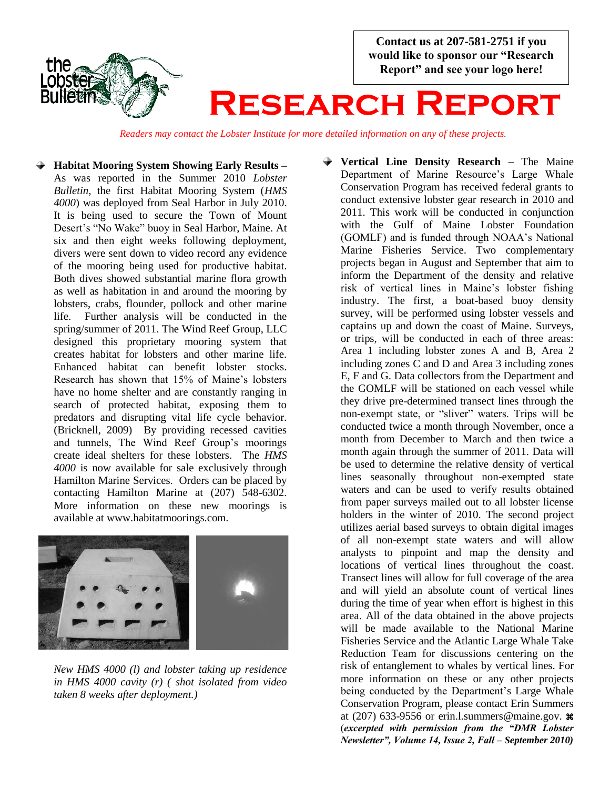**Contact us at 207-581-2751 if you would like to sponsor our "Research Report" and see your logo here!**



# **Research Report**

*Readers may contact the Lobster Institute for more detailed information on any of these projects.*

**Habitat Mooring System Showing Early Results –** As was reported in the Summer 2010 *Lobster Bulletin*, the first Habitat Mooring System (*HMS 4000*) was deployed from Seal Harbor in July 2010. It is being used to secure the Town of Mount Desert's "No Wake" buoy in Seal Harbor, Maine. At six and then eight weeks following deployment, divers were sent down to video record any evidence of the mooring being used for productive habitat. Both dives showed substantial marine flora growth as well as habitation in and around the mooring by lobsters, crabs, flounder, pollock and other marine life. Further analysis will be conducted in the spring/summer of 2011. The Wind Reef Group, LLC designed this proprietary mooring system that creates habitat for lobsters and other marine life. Enhanced habitat can benefit lobster stocks. Research has shown that 15% of Maine's lobsters have no home shelter and are constantly ranging in search of protected habitat, exposing them to predators and disrupting vital life cycle behavior. (Bricknell, 2009) By providing recessed cavities and tunnels, The Wind Reef Group's moorings create ideal shelters for these lobsters. The *HMS 4000* is now available for sale exclusively through Hamilton Marine Services. Orders can be placed by contacting Hamilton Marine at (207) 548-6302. More information on these new moorings is available at www.habitatmoorings.com.



*New HMS 4000 (l) and lobster taking up residence in HMS 4000 cavity (r) ( shot isolated from video taken 8 weeks after deployment.)*

**Vertical Line Density Research –** The Maine Department of Marine Resource's Large Whale Conservation Program has received federal grants to conduct extensive lobster gear research in 2010 and 2011. This work will be conducted in conjunction with the Gulf of Maine Lobster Foundation (GOMLF) and is funded through NOAA's National Marine Fisheries Service. Two complementary projects began in August and September that aim to inform the Department of the density and relative risk of vertical lines in Maine's lobster fishing industry. The first, a boat-based buoy density survey, will be performed using lobster vessels and captains up and down the coast of Maine. Surveys, or trips, will be conducted in each of three areas: Area 1 including lobster zones A and B, Area 2 including zones C and D and Area 3 including zones E, F and G. Data collectors from the Department and the GOMLF will be stationed on each vessel while they drive pre-determined transect lines through the non-exempt state, or "sliver" waters. Trips will be conducted twice a month through November, once a month from December to March and then twice a month again through the summer of 2011. Data will be used to determine the relative density of vertical lines seasonally throughout non-exempted state waters and can be used to verify results obtained from paper surveys mailed out to all lobster license holders in the winter of 2010. The second project utilizes aerial based surveys to obtain digital images of all non-exempt state waters and will allow analysts to pinpoint and map the density and locations of vertical lines throughout the coast. Transect lines will allow for full coverage of the area and will yield an absolute count of vertical lines during the time of year when effort is highest in this area. All of the data obtained in the above projects will be made available to the National Marine Fisheries Service and the Atlantic Large Whale Take Reduction Team for discussions centering on the risk of entanglement to whales by vertical lines. For more information on these or any other projects being conducted by the Department's Large Whale Conservation Program, please contact Erin Summers at (207) 633-9556 or erin.l.summers@maine.gov.  $\mathcal{H}$ (*excerpted with permission from the "DMR Lobster Newsletter", Volume 14, Issue 2, Fall – September 2010)*